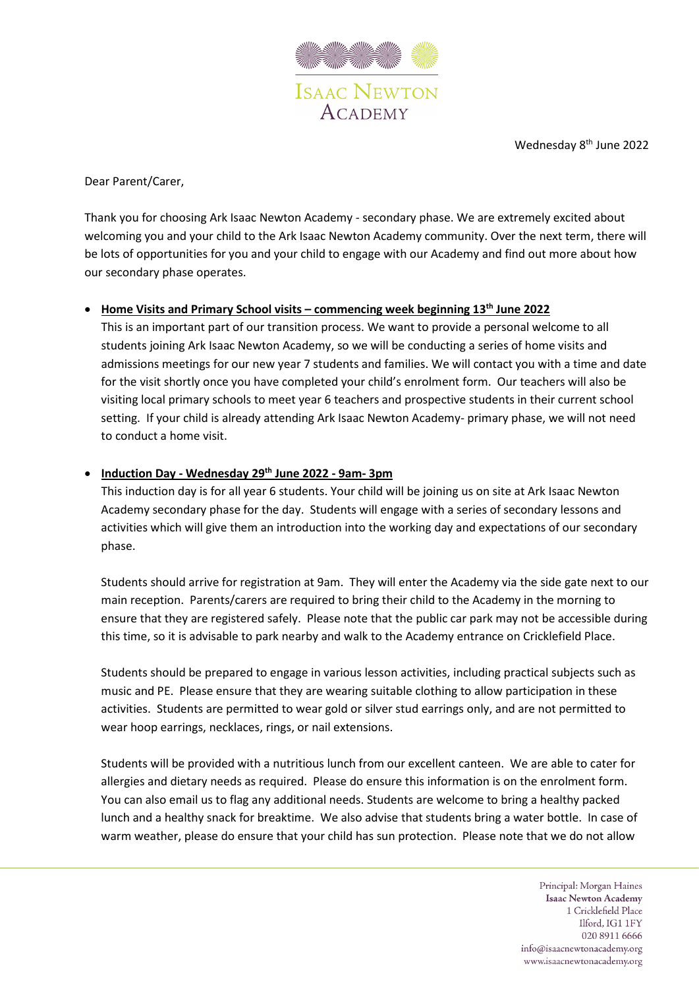

Wednesday 8<sup>th</sup> June 2022

Dear Parent/Carer,

Thank you for choosing Ark Isaac Newton Academy - secondary phase. We are extremely excited about welcoming you and your child to the Ark Isaac Newton Academy community. Over the next term, there will be lots of opportunities for you and your child to engage with our Academy and find out more about how our secondary phase operates.

## • **Home Visits and Primary School visits – commencing week beginning 13th June 2022**

This is an important part of our transition process. We want to provide a personal welcome to all students joining Ark Isaac Newton Academy, so we will be conducting a series of home visits and admissions meetings for our new year 7 students and families. We will contact you with a time and date for the visit shortly once you have completed your child's enrolment form. Our teachers will also be visiting local primary schools to meet year 6 teachers and prospective students in their current school setting. If your child is already attending Ark Isaac Newton Academy- primary phase, we will not need to conduct a home visit.

## • **Induction Day - Wednesday 29th June 2022 - 9am- 3pm**

This induction day is for all year 6 students. Your child will be joining us on site at Ark Isaac Newton Academy secondary phase for the day. Students will engage with a series of secondary lessons and activities which will give them an introduction into the working day and expectations of our secondary phase.

Students should arrive for registration at 9am. They will enter the Academy via the side gate next to our main reception. Parents/carers are required to bring their child to the Academy in the morning to ensure that they are registered safely. Please note that the public car park may not be accessible during this time, so it is advisable to park nearby and walk to the Academy entrance on Cricklefield Place.

Students should be prepared to engage in various lesson activities, including practical subjects such as music and PE. Please ensure that they are wearing suitable clothing to allow participation in these activities. Students are permitted to wear gold or silver stud earrings only, and are not permitted to wear hoop earrings, necklaces, rings, or nail extensions.

Students will be provided with a nutritious lunch from our excellent canteen. We are able to cater for allergies and dietary needs as required. Please do ensure this information is on the enrolment form. You can also email us to flag any additional needs. Students are welcome to bring a healthy packed lunch and a healthy snack for breaktime. We also advise that students bring a water bottle. In case of warm weather, please do ensure that your child has sun protection. Please note that we do not allow

> Principal: Morgan Haines **Isaac Newton Academy** 1 Cricklefield Place Ilford, IG1 1FY 020 8911 6666 info@isaacnewtonacademy.org www.isaacnewtonacademy.org